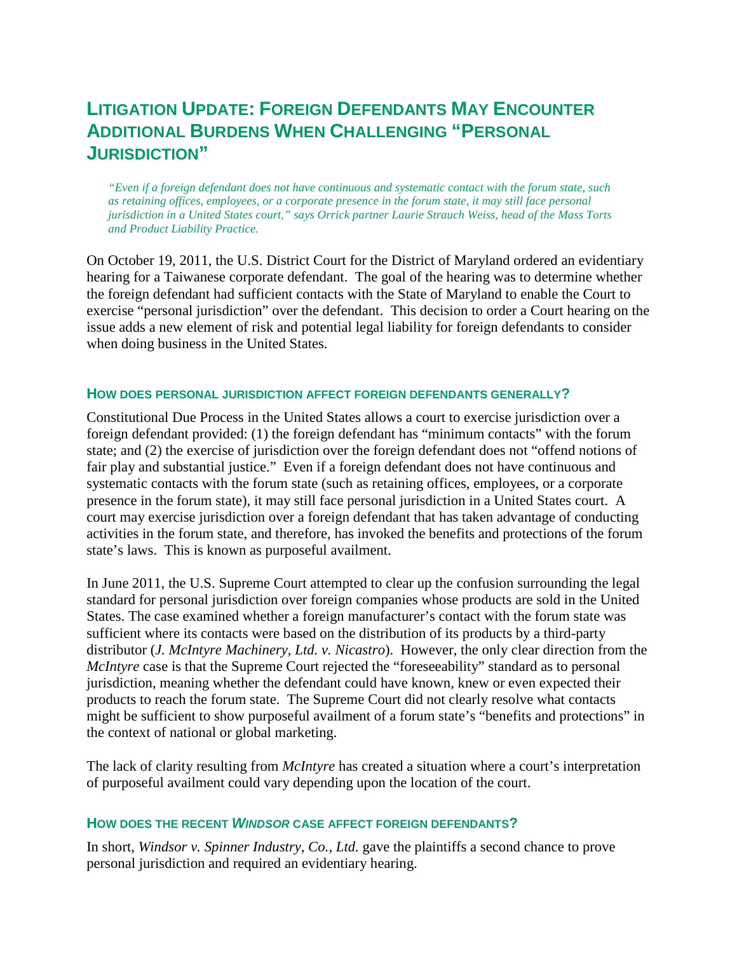## **LITIGATION UPDATE: FOREIGN DEFENDANTS MAY ENCOUNTER ADDITIONAL BURDENS WHEN CHALLENGING "PERSONAL JURISDICTION"**

*"Even if a foreign defendant does not have continuous and systematic contact with the forum state, such as retaining offices, employees, or a corporate presence in the forum state, it may still face personal jurisdiction in a United States court," says Orrick partner Laurie Strauch Weiss, head of the Mass Torts and Product Liability Practice.*

On October 19, 2011, the U.S. District Court for the District of Maryland ordered an evidentiary hearing for a Taiwanese corporate defendant. The goal of the hearing was to determine whether the foreign defendant had sufficient contacts with the State of Maryland to enable the Court to exercise "personal jurisdiction" over the defendant. This decision to order a Court hearing on the issue adds a new element of risk and potential legal liability for foreign defendants to consider when doing business in the United States.

## **HOW DOES PERSONAL JURISDICTION AFFECT FOREIGN DEFENDANTS GENERALLY?**

Constitutional Due Process in the United States allows a court to exercise jurisdiction over a foreign defendant provided: (1) the foreign defendant has "minimum contacts" with the forum state; and (2) the exercise of jurisdiction over the foreign defendant does not "offend notions of fair play and substantial justice." Even if a foreign defendant does not have continuous and systematic contacts with the forum state (such as retaining offices, employees, or a corporate presence in the forum state), it may still face personal jurisdiction in a United States court. A court may exercise jurisdiction over a foreign defendant that has taken advantage of conducting activities in the forum state, and therefore, has invoked the benefits and protections of the forum state's laws. This is known as purposeful availment.

In June 2011, the U.S. Supreme Court attempted to clear up the confusion surrounding the legal standard for personal jurisdiction over foreign companies whose products are sold in the United States. The case examined whether a foreign manufacturer's contact with the forum state was sufficient where its contacts were based on the distribution of its products by a third-party distributor (*J. McIntyre Machinery, Ltd. v. Nicastro*). However, the only clear direction from the *McIntyre* case is that the Supreme Court rejected the "foreseeability" standard as to personal jurisdiction, meaning whether the defendant could have known, knew or even expected their products to reach the forum state. The Supreme Court did not clearly resolve what contacts might be sufficient to show purposeful availment of a forum state's "benefits and protections" in the context of national or global marketing.

The lack of clarity resulting from *McIntyre* has created a situation where a court's interpretation of purposeful availment could vary depending upon the location of the court.

## **HOW DOES THE RECENT** *WINDSOR* **CASE AFFECT FOREIGN DEFENDANTS?**

In short, *Windsor v. Spinner Industry, Co., Ltd.* gave the plaintiffs a second chance to prove personal jurisdiction and required an evidentiary hearing.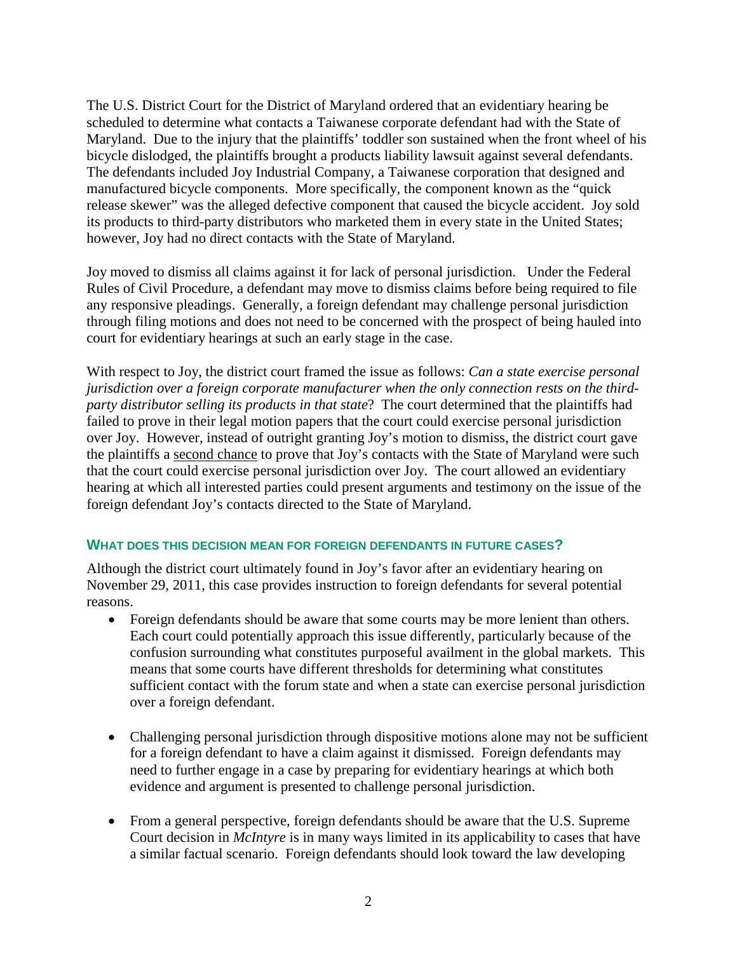The U.S. District Court for the District of Maryland ordered that an evidentiary hearing be scheduled to determine what contacts a Taiwanese corporate defendant had with the State of Maryland. Due to the injury that the plaintiffs' toddler son sustained when the front wheel of his bicycle dislodged, the plaintiffs brought a products liability lawsuit against several defendants. The defendants included Joy Industrial Company, a Taiwanese corporation that designed and manufactured bicycle components. More specifically, the component known as the "quick release skewer" was the alleged defective component that caused the bicycle accident. Joy sold its products to third-party distributors who marketed them in every state in the United States; however, Joy had no direct contacts with the State of Maryland.

Joy moved to dismiss all claims against it for lack of personal jurisdiction. Under the Federal Rules of Civil Procedure, a defendant may move to dismiss claims before being required to file any responsive pleadings. Generally, a foreign defendant may challenge personal jurisdiction through filing motions and does not need to be concerned with the prospect of being hauled into court for evidentiary hearings at such an early stage in the case.

With respect to Joy, the district court framed the issue as follows: *Can a state exercise personal jurisdiction over a foreign corporate manufacturer when the only connection rests on the thirdparty distributor selling its products in that state*? The court determined that the plaintiffs had failed to prove in their legal motion papers that the court could exercise personal jurisdiction over Joy. However, instead of outright granting Joy's motion to dismiss, the district court gave the plaintiffs a second chance to prove that Joy's contacts with the State of Maryland were such that the court could exercise personal jurisdiction over Joy. The court allowed an evidentiary hearing at which all interested parties could present arguments and testimony on the issue of the foreign defendant Joy's contacts directed to the State of Maryland.

## **WHAT DOES THIS DECISION MEAN FOR FOREIGN DEFENDANTS IN FUTURE CASES?**

Although the district court ultimately found in Joy's favor after an evidentiary hearing on November 29, 2011, this case provides instruction to foreign defendants for several potential reasons.

- Foreign defendants should be aware that some courts may be more lenient than others. Each court could potentially approach this issue differently, particularly because of the confusion surrounding what constitutes purposeful availment in the global markets. This means that some courts have different thresholds for determining what constitutes sufficient contact with the forum state and when a state can exercise personal jurisdiction over a foreign defendant.
- Challenging personal jurisdiction through dispositive motions alone may not be sufficient for a foreign defendant to have a claim against it dismissed. Foreign defendants may need to further engage in a case by preparing for evidentiary hearings at which both evidence and argument is presented to challenge personal jurisdiction.
- From a general perspective, foreign defendants should be aware that the U.S. Supreme Court decision in *McIntyre* is in many ways limited in its applicability to cases that have a similar factual scenario. Foreign defendants should look toward the law developing